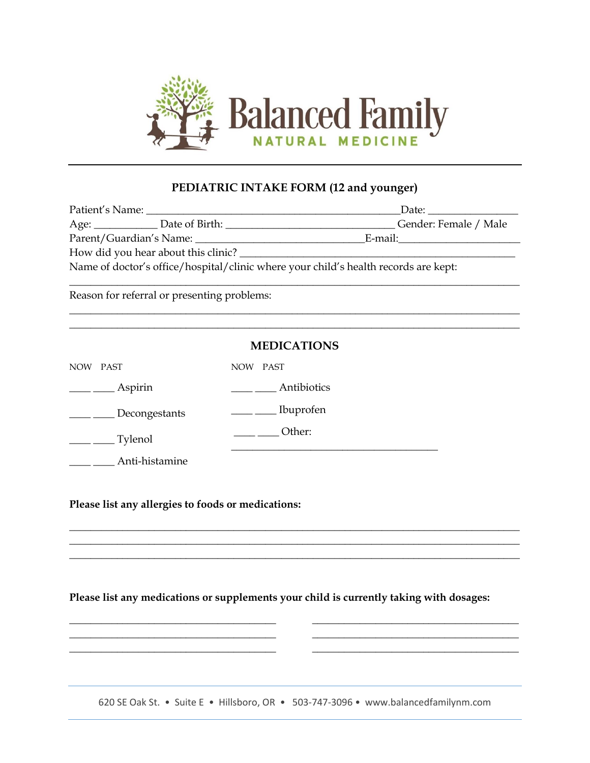

## **PEDIATRIC INTAKE FORM (12 and younger)**

| Patient's Name:                                                                     |                     | Date:                 |  |  |
|-------------------------------------------------------------------------------------|---------------------|-----------------------|--|--|
|                                                                                     | Age: Date of Birth: | Gender: Female / Male |  |  |
| Parent/Guardian's Name:                                                             |                     | E-mail:               |  |  |
| How did you hear about this clinic?                                                 |                     |                       |  |  |
| Name of doctor's office/hospital/clinic where your child's health records are kept: |                     |                       |  |  |

\_\_\_\_\_\_\_\_\_\_\_\_\_\_\_\_\_\_\_\_\_\_\_\_\_\_\_\_\_\_\_\_\_\_\_\_\_\_\_\_\_\_\_\_\_\_\_\_\_\_\_\_\_\_\_\_\_\_\_\_\_\_\_\_\_\_\_\_\_\_\_\_\_\_\_\_\_\_\_\_\_\_\_\_\_

\_\_\_\_\_\_\_\_\_\_\_\_\_\_\_\_\_\_\_\_\_\_\_\_\_\_\_\_\_\_\_\_\_\_\_\_\_\_\_\_\_\_\_\_\_\_\_\_\_\_\_\_\_\_\_\_\_\_\_\_\_\_\_\_\_\_\_\_\_\_\_\_\_\_\_\_\_\_\_\_\_\_\_\_\_ \_\_\_\_\_\_\_\_\_\_\_\_\_\_\_\_\_\_\_\_\_\_\_\_\_\_\_\_\_\_\_\_\_\_\_\_\_\_\_\_\_\_\_\_\_\_\_\_\_\_\_\_\_\_\_\_\_\_\_\_\_\_\_\_\_\_\_\_\_\_\_\_\_\_\_\_\_\_\_\_\_\_\_\_\_

Reason for referral or presenting problems:

|            |                | <b>MEDICATIONS</b> |
|------------|----------------|--------------------|
| <b>NOW</b> | <b>PAST</b>    | NOW<br>PAST        |
|            | Aspirin        | Antibiotics        |
|            | Decongestants  | Ibuprofen          |
|            | Tylenol        | Other:             |
|            | Anti-histamine |                    |

**Please list any allergies to foods or medications:**

\_\_\_\_\_\_\_\_\_\_\_\_\_\_\_\_\_\_\_\_\_\_\_\_\_\_\_\_\_\_\_\_\_\_\_\_\_\_\_

 $\frac{1}{2}$  ,  $\frac{1}{2}$  ,  $\frac{1}{2}$  ,  $\frac{1}{2}$  ,  $\frac{1}{2}$  ,  $\frac{1}{2}$  ,  $\frac{1}{2}$  ,  $\frac{1}{2}$  ,  $\frac{1}{2}$  ,  $\frac{1}{2}$  ,  $\frac{1}{2}$  ,  $\frac{1}{2}$  ,  $\frac{1}{2}$  ,  $\frac{1}{2}$  ,  $\frac{1}{2}$  ,  $\frac{1}{2}$  ,  $\frac{1}{2}$  ,  $\frac{1}{2}$  ,  $\frac{1$ \_\_\_\_\_\_\_\_\_\_\_\_\_\_\_\_\_\_\_\_\_\_\_\_\_\_\_\_\_\_\_\_\_\_\_\_\_\_\_

**Please list any medications or supplements your child is currently taking with dosages:**

\_\_\_\_\_\_\_\_\_\_\_\_\_\_\_\_\_\_\_\_\_\_\_\_\_\_\_\_\_\_\_\_\_\_\_\_\_\_\_\_\_\_\_\_\_\_\_\_\_\_\_\_\_\_\_\_\_\_\_\_\_\_\_\_\_\_\_\_\_\_\_\_\_\_\_\_\_\_\_\_\_\_\_\_\_ \_\_\_\_\_\_\_\_\_\_\_\_\_\_\_\_\_\_\_\_\_\_\_\_\_\_\_\_\_\_\_\_\_\_\_\_\_\_\_\_\_\_\_\_\_\_\_\_\_\_\_\_\_\_\_\_\_\_\_\_\_\_\_\_\_\_\_\_\_\_\_\_\_\_\_\_\_\_\_\_\_\_\_\_\_ \_\_\_\_\_\_\_\_\_\_\_\_\_\_\_\_\_\_\_\_\_\_\_\_\_\_\_\_\_\_\_\_\_\_\_\_\_\_\_\_\_\_\_\_\_\_\_\_\_\_\_\_\_\_\_\_\_\_\_\_\_\_\_\_\_\_\_\_\_\_\_\_\_\_\_\_\_\_\_\_\_\_\_\_\_

620 SE Oak St. • Suite E • Hillsboro, OR • 503-747-3096 • www.balancedfamilynm.com

\_\_\_\_\_\_\_\_\_\_\_\_\_\_\_\_\_\_\_\_\_\_\_\_\_\_\_\_\_\_\_\_\_\_\_\_\_\_\_ \_\_\_\_\_\_\_\_\_\_\_\_\_\_\_\_\_\_\_\_\_\_\_\_\_\_\_\_\_\_\_\_\_\_\_\_\_\_\_ \_\_\_\_\_\_\_\_\_\_\_\_\_\_\_\_\_\_\_\_\_\_\_\_\_\_\_\_\_\_\_\_\_\_\_\_\_\_\_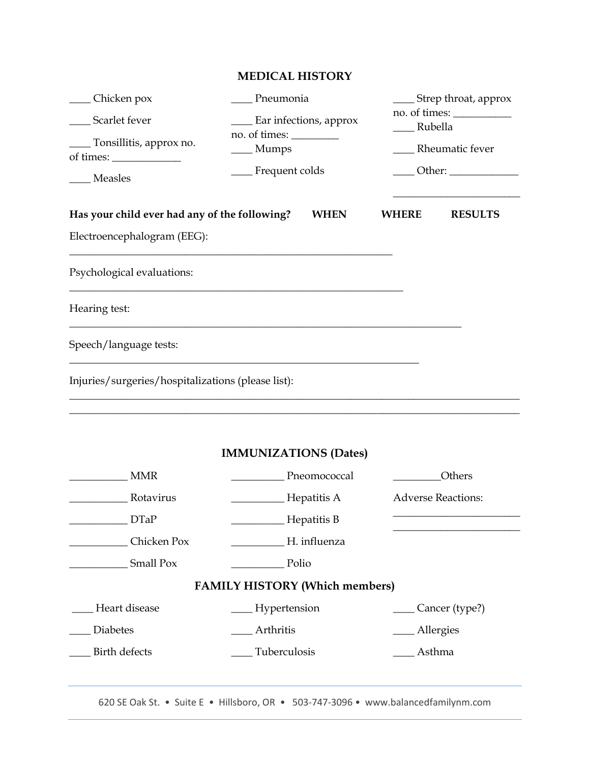|                                                                                | <b>MEDICAL HISTORY</b>                                             |                                                                                                            |
|--------------------------------------------------------------------------------|--------------------------------------------------------------------|------------------------------------------------------------------------------------------------------------|
| __ Chicken pox<br>Scarlet fever<br>_ Tonsillitis, approx no.<br><b>Measles</b> | Pneumonia<br>Ear infections, approx<br>___ Mumps<br>Frequent colds | $\frac{1}{2}$ Strep throat, approx<br><sub>-</sub> Rubella<br>Rheumatic fever<br>___ Other: ______________ |
| Has your child ever had any of the following?<br>Electroencephalogram (EEG):   | <b>WHEN</b>                                                        | <b>WHERE</b><br><b>RESULTS</b>                                                                             |
| Psychological evaluations:                                                     |                                                                    |                                                                                                            |
| Hearing test:                                                                  |                                                                    |                                                                                                            |
| Speech/language tests:                                                         |                                                                    |                                                                                                            |
| Injuries/surgeries/hospitalizations (please list):                             |                                                                    |                                                                                                            |
|                                                                                | <b>IMMUNIZATIONS (Dates)</b>                                       |                                                                                                            |
| <b>MMR</b>                                                                     | _Pneomococcal                                                      | Others                                                                                                     |
| Rotavirus                                                                      | Hepatitis A                                                        | <b>Adverse Reactions:</b>                                                                                  |
| <b>DTaP</b>                                                                    | Hepatitis B                                                        |                                                                                                            |
| Chicken Pox                                                                    | H. influenza                                                       |                                                                                                            |
| Small Pox                                                                      | Polio                                                              |                                                                                                            |
|                                                                                | <b>FAMILY HISTORY (Which members)</b>                              |                                                                                                            |
| Heart disease                                                                  | __ Hypertension                                                    | ____ Cancer (type?)                                                                                        |
| <b>Diabetes</b>                                                                | Arthritis                                                          | __ Allergies                                                                                               |
| Birth defects                                                                  | Tuberculosis                                                       | Asthma                                                                                                     |

620 SE Oak St. • Suite E • Hillsboro, OR • 503-747-3096 • www.balancedfamilynm.com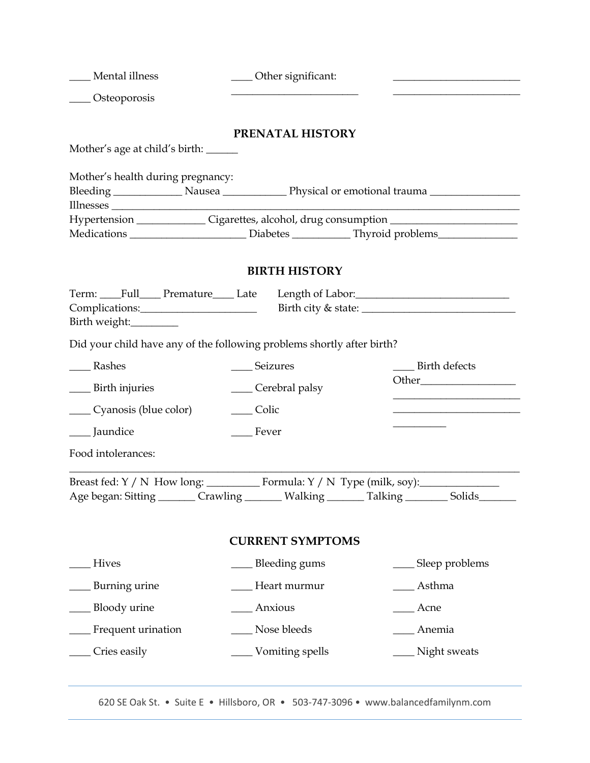| ____ Osteoporosis                                                                                                                                         |  |  |  |  |  |  |
|-----------------------------------------------------------------------------------------------------------------------------------------------------------|--|--|--|--|--|--|
|                                                                                                                                                           |  |  |  |  |  |  |
| PRENATAL HISTORY                                                                                                                                          |  |  |  |  |  |  |
| Mother's age at child's birth: ______                                                                                                                     |  |  |  |  |  |  |
| Mother's health during pregnancy:                                                                                                                         |  |  |  |  |  |  |
| Hypertension ______________Cigarettes, alcohol, drug consumption ______________________                                                                   |  |  |  |  |  |  |
| Medications ___________________________Diabetes ________________Thyroid problems___________________                                                       |  |  |  |  |  |  |
| <b>BIRTH HISTORY</b>                                                                                                                                      |  |  |  |  |  |  |
|                                                                                                                                                           |  |  |  |  |  |  |
|                                                                                                                                                           |  |  |  |  |  |  |
| Birth weight:_________                                                                                                                                    |  |  |  |  |  |  |
| Did your child have any of the following problems shortly after birth?                                                                                    |  |  |  |  |  |  |
| _______Rashes<br>__ Seizures<br>____ Birth defects                                                                                                        |  |  |  |  |  |  |
| <b>Example 1</b> Birth injuries<br>Cerebral palsy                                                                                                         |  |  |  |  |  |  |
| <u> 1989 - Jan James James Jan James James Jan James James Jan James James Jan James James Jan Jan James James J</u><br>Cyanosis (blue color)<br>__ Colic |  |  |  |  |  |  |
| ___ Jaundice<br>___ Fever                                                                                                                                 |  |  |  |  |  |  |
| Food intolerances:                                                                                                                                        |  |  |  |  |  |  |
|                                                                                                                                                           |  |  |  |  |  |  |
| Age began: Sitting ________ Crawling _______ Walking _______ Talking ________ Solids_____                                                                 |  |  |  |  |  |  |
|                                                                                                                                                           |  |  |  |  |  |  |
| <b>CURRENT SYMPTOMS</b>                                                                                                                                   |  |  |  |  |  |  |
| Bleeding gums<br><b>Hives</b><br>____ Sleep problems                                                                                                      |  |  |  |  |  |  |
| Burning urine<br>Asthma<br>Heart murmur                                                                                                                   |  |  |  |  |  |  |
| Bloody urine<br>Anxious<br>Acne                                                                                                                           |  |  |  |  |  |  |
| Nose bleeds<br>__ Frequent urination<br>_ Anemia                                                                                                          |  |  |  |  |  |  |
| ___ Cries easily<br>____ Vomiting spells<br>__ Night sweats                                                                                               |  |  |  |  |  |  |

620 SE Oak St. • Suite E • Hillsboro, OR • 503-747-3096 • www.balancedfamilynm.com